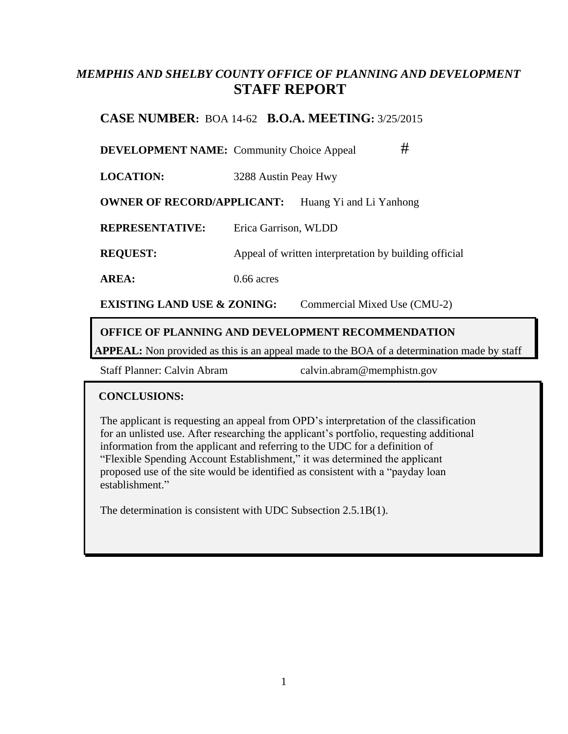## *MEMPHIS AND SHELBY COUNTY OFFICE OF PLANNING AND DEVELOPMENT* **STAFF REPORT**

## **CASE NUMBER:** BOA 14-62 **B.O.A. MEETING:** 3/25/2015

**DEVELOPMENT NAME:** Community Choice Appeal #

**LOCATION:** 3288 Austin Peay Hwy

**OWNER OF RECORD/APPLICANT:** Huang Yi and Li Yanhong

**REPRESENTATIVE:** Erica Garrison, WLDD

**REQUEST:** Appeal of written interpretation by building official

**AREA:** 0.66 acres

**EXISTING LAND USE & ZONING:** Commercial Mixed Use (CMU-2)

#### **OFFICE OF PLANNING AND DEVELOPMENT RECOMMENDATION**

**APPEAL:** Non provided as this is an appeal made to the BOA of a determination made by staff

Staff Planner: Calvin Abram calvin.abram@memphistn.gov

#### **CONCLUSIONS:**

The applicant is requesting an appeal from OPD's interpretation of the classification for an unlisted use. After researching the applicant's portfolio, requesting additional information from the applicant and referring to the UDC for a definition of "Flexible Spending Account Establishment," it was determined the applicant proposed use of the site would be identified as consistent with a "payday loan establishment."

The determination is consistent with UDC Subsection 2.5.1B(1).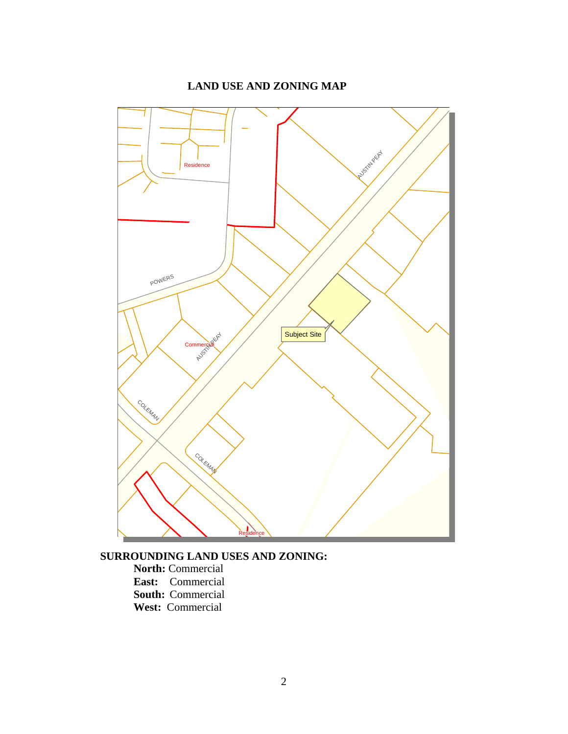### **LAND USE AND ZONING MAP**



**SURROUNDING LAND USES AND ZONING:**

**North:** Commercial **East:** Commercial **South:** Commercial **West:** Commercial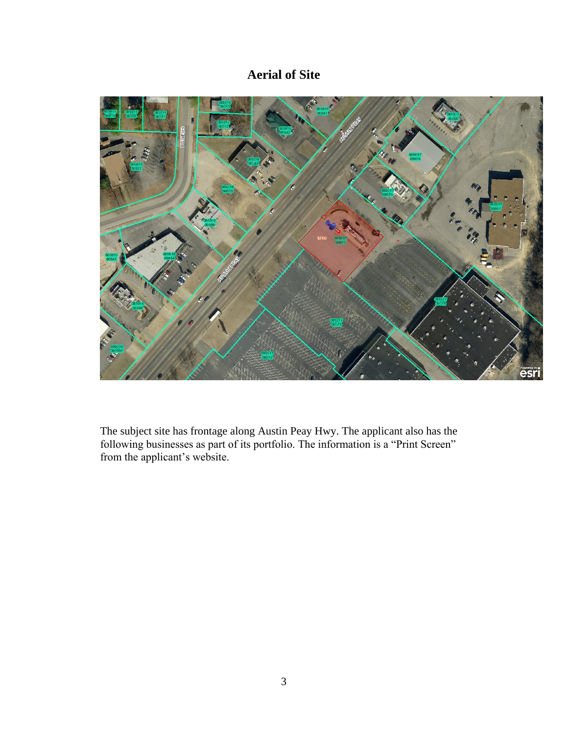# **Aerial of Site**



The subject site has frontage along Austin Peay Hwy. The applicant also has the following businesses as part of its portfolio. The information is a "Print Screen" from the applicant's website.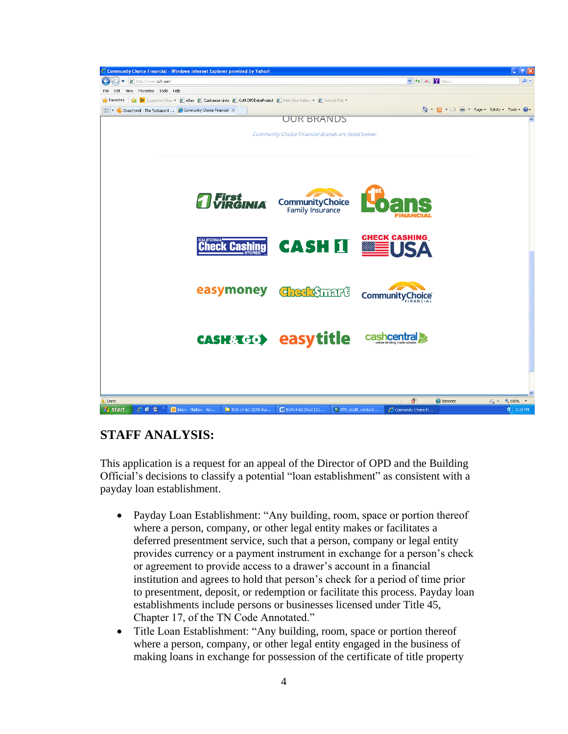

## **STAFF ANALYSIS:**

This application is a request for an appeal of the Director of OPD and the Building Official's decisions to classify a potential "loan establishment" as consistent with a payday loan establishment.

- Payday Loan Establishment: "Any building, room, space or portion thereof where a person, company, or other legal entity makes or facilitates a deferred presentment service, such that a person, company or legal entity provides currency or a payment instrument in exchange for a person's check or agreement to provide access to a drawer's account in a financial institution and agrees to hold that person's check for a period of time prior to presentment, deposit, or redemption or facilitate this process. Payday loan establishments include persons or businesses licensed under Title 45, Chapter 17, of the TN Code Annotated."
- Title Loan Establishment: "Any building, room, space or portion thereof where a person, company, or other legal entity engaged in the business of making loans in exchange for possession of the certificate of title property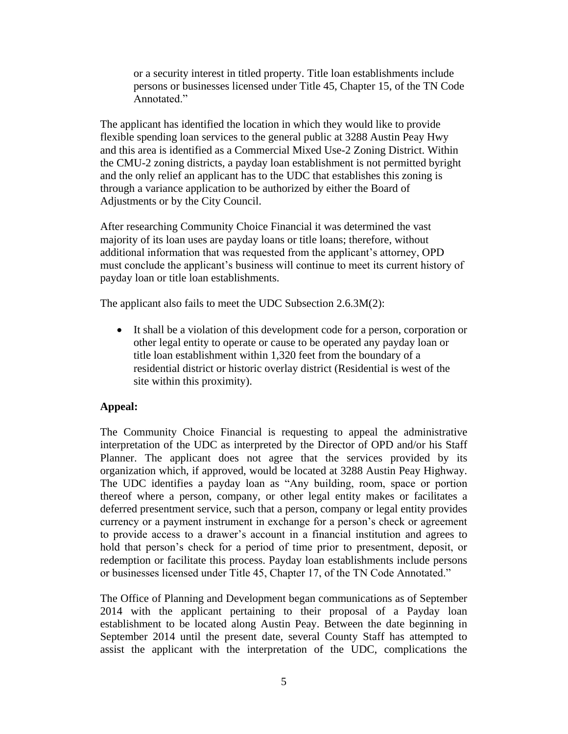or a security interest in titled property. Title loan establishments include persons or businesses licensed under Title 45, Chapter 15, of the TN Code Annotated."

The applicant has identified the location in which they would like to provide flexible spending loan services to the general public at 3288 Austin Peay Hwy and this area is identified as a Commercial Mixed Use-2 Zoning District. Within the CMU-2 zoning districts, a payday loan establishment is not permitted byright and the only relief an applicant has to the UDC that establishes this zoning is through a variance application to be authorized by either the Board of Adjustments or by the City Council.

After researching Community Choice Financial it was determined the vast majority of its loan uses are payday loans or title loans; therefore, without additional information that was requested from the applicant's attorney, OPD must conclude the applicant's business will continue to meet its current history of payday loan or title loan establishments.

The applicant also fails to meet the UDC Subsection 2.6.3M(2):

 It shall be a violation of this development code for a person, corporation or other legal entity to operate or cause to be operated any payday loan or title loan establishment within 1,320 feet from the boundary of a residential district or historic overlay district (Residential is west of the site within this proximity).

#### **Appeal:**

The Community Choice Financial is requesting to appeal the administrative interpretation of the UDC as interpreted by the Director of OPD and/or his Staff Planner. The applicant does not agree that the services provided by its organization which, if approved, would be located at 3288 Austin Peay Highway. The UDC identifies a payday loan as "Any building, room, space or portion thereof where a person, company, or other legal entity makes or facilitates a deferred presentment service, such that a person, company or legal entity provides currency or a payment instrument in exchange for a person's check or agreement to provide access to a drawer's account in a financial institution and agrees to hold that person's check for a period of time prior to presentment, deposit, or redemption or facilitate this process. Payday loan establishments include persons or businesses licensed under Title 45, Chapter 17, of the TN Code Annotated."

The Office of Planning and Development began communications as of September 2014 with the applicant pertaining to their proposal of a Payday loan establishment to be located along Austin Peay. Between the date beginning in September 2014 until the present date, several County Staff has attempted to assist the applicant with the interpretation of the UDC, complications the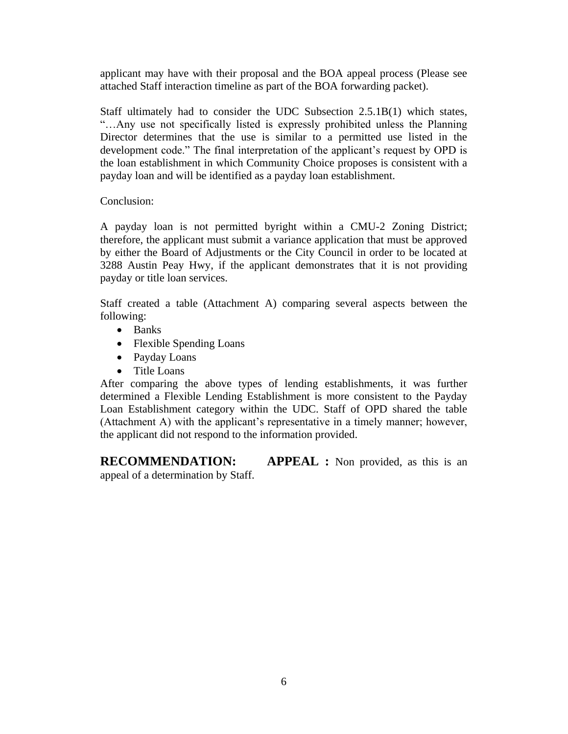applicant may have with their proposal and the BOA appeal process (Please see attached Staff interaction timeline as part of the BOA forwarding packet).

Staff ultimately had to consider the UDC Subsection 2.5.1B(1) which states, "…Any use not specifically listed is expressly prohibited unless the Planning Director determines that the use is similar to a permitted use listed in the development code." The final interpretation of the applicant's request by OPD is the loan establishment in which Community Choice proposes is consistent with a payday loan and will be identified as a payday loan establishment.

Conclusion:

A payday loan is not permitted byright within a CMU-2 Zoning District; therefore, the applicant must submit a variance application that must be approved by either the Board of Adjustments or the City Council in order to be located at 3288 Austin Peay Hwy, if the applicant demonstrates that it is not providing payday or title loan services.

Staff created a table (Attachment A) comparing several aspects between the following:

- Banks
- Flexible Spending Loans
- Payday Loans
- Title Loans

After comparing the above types of lending establishments, it was further determined a Flexible Lending Establishment is more consistent to the Payday Loan Establishment category within the UDC. Staff of OPD shared the table (Attachment A) with the applicant's representative in a timely manner; however, the applicant did not respond to the information provided.

**RECOMMENDATION: APPEAL :** Non provided, as this is an appeal of a determination by Staff.